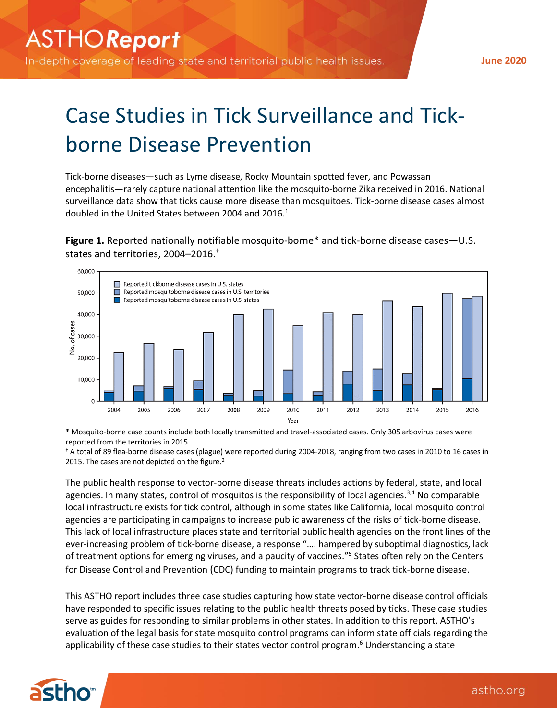In-depth coverage of leading state and territorial public health issues.

**June 2020**

# Case Studies in Tick Surveillance and Tickborne Disease Prevention

Tick-borne diseases—such as Lyme disease, Rocky Mountain spotted fever, and Powassan encephalitis—rarely capture national attention like the mosquito-borne Zika received in 2016. National surveillance data show that ticks cause more disease than mosquitoes. Tick-borne disease cases almost doubled in the United States between 2004 and 2016.<sup>1</sup>

**Figure 1.** Reported nationally notifiable mosquito-borne\* and tick-borne disease cases—U.S. states and territories, 2004–2016. †



\* Mosquito-borne case counts include both locally transmitted and travel-associated cases. Only 305 arbovirus cases were reported from the territories in 2015.

† A total of 89 flea-borne disease cases (plague) were reported during 2004-2018, ranging from two cases in 2010 to 16 cases in 2015. The cases are not depicted on the figure.<sup>2</sup>

The public health response to vector-borne disease threats includes actions by federal, state, and local agencies. In many states, control of mosquitos is the responsibility of local agencies.<sup>3,4</sup> No comparable local infrastructure exists for tick control, although in some states like California, local mosquito control agencies are participating in campaigns to increase public awareness of the risks of tick-borne disease. This lack of local infrastructure places state and territorial public health agencies on the front lines of the ever-increasing problem of tick-borne disease, a response "…. hampered by suboptimal diagnostics, lack of treatment options for emerging viruses, and a paucity of vaccines." 5 States often rely on the Centers for Disease Control and Prevention (CDC) funding to maintain programs to track tick-borne disease.

This ASTHO report includes three case studies capturing how state vector-borne disease control officials have responded to specific issues relating to the public health threats posed by ticks. These case studies serve as guides for responding to similar problems in other states. In addition to this report, ASTHO's evaluation of the legal basis for state mosquito control programs can inform state officials regarding the applicability of these case studies to their states vector control program. <sup>6</sup> Understanding a state

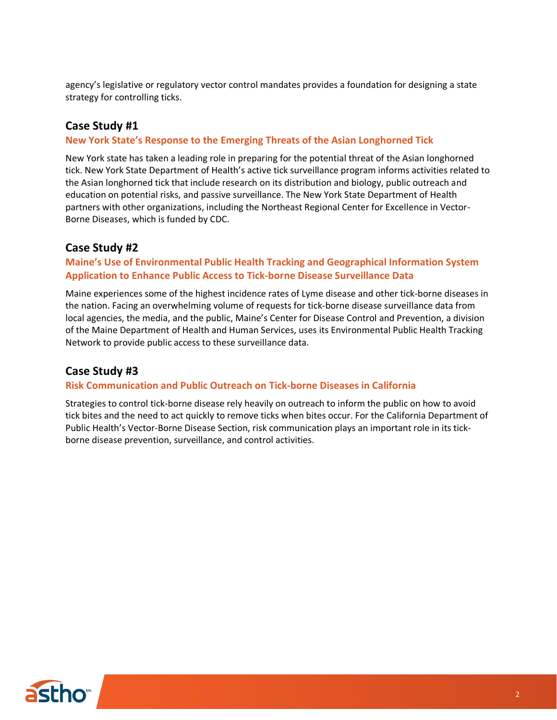agency's legislative or regulatory vector control mandates provides a foundation for designing a state strategy for controlling ticks.

#### **Case Study #1**

#### **New York State's Response to the Emerging Threats of the Asian Longhorned Tick**

New York state has taken a leading role in preparing for the potential threat of the Asian longhorned tick. New York State Department of Health's active tick surveillance program informs activities related to the Asian longhorned tick that include research on its distribution and biology, public outreach and education on potential risks, and passive surveillance. The New York State Department of Health partners with other organizations, including the Northeast Regional Center for Excellence in Vector-Borne Diseases, which is funded by CDC.

#### **Case Study #2**

#### **Maine's Use of Environmental Public Health Tracking and Geographical Information System Application to Enhance Public Access to Tick-borne Disease Surveillance Data**

Maine experiences some of the highest incidence rates of Lyme disease and other tick-borne diseases in the nation. Facing an overwhelming volume of requests for tick-borne disease surveillance data from local agencies, the media, and the public, Maine's Center for Disease Control and Prevention, a division of the Maine Department of Health and Human Services, uses its Environmental Public Health Tracking Network to provide public access to these surveillance data.

## **Case Study #3**

#### **Risk Communication and Public Outreach on Tick-borne Diseases in California**

Strategies to control tick-borne disease rely heavily on outreach to inform the public on how to avoid tick bites and the need to act quickly to remove ticks when bites occur. For the California Department of Public Health's Vector-Borne Disease Section, risk communication plays an important role in its tickborne disease prevention, surveillance, and control activities.

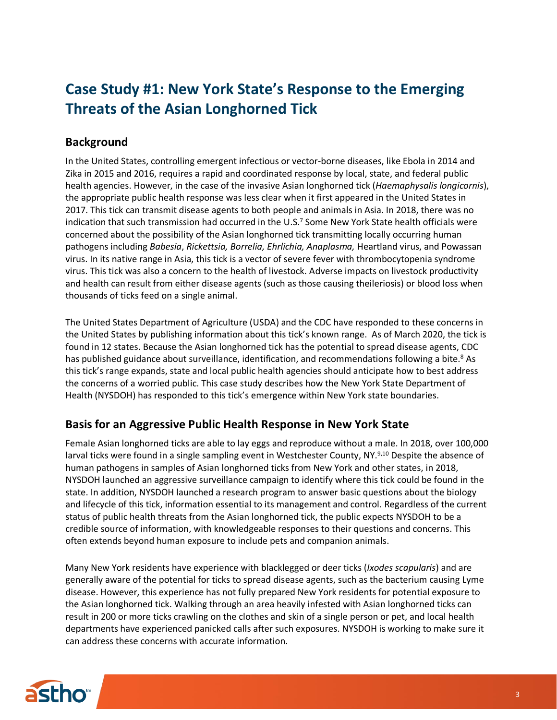# **Case Study #1: New York State's Response to the Emerging Threats of the Asian Longhorned Tick**

## **Background**

In the United States, controlling emergent infectious or vector-borne diseases, like Ebola in 2014 and Zika in 2015 and 2016, requires a rapid and coordinated response by local, state, and federal public health agencies. However, in the case of the invasive Asian longhorned tick (*Haemaphysalis longicornis*), the appropriate public health response was less clear when it first appeared in the United States in 2017. This tick can transmit disease agents to both people and animals in Asia. In 2018, there was no indication that such transmission had occurred in the U.S. <sup>7</sup> Some New York State health officials were concerned about the possibility of the Asian longhorned tick transmitting locally occurring human pathogens including *Babesia*, *Rickettsia, Borrelia, Ehrlichia, Anaplasma,* Heartland virus, and Powassan virus. In its native range in Asia, this tick is a vector of severe fever with thrombocytopenia syndrome virus. This tick was also a concern to the health of livestock. Adverse impacts on livestock productivity and health can result from either disease agents (such as those causing theileriosis) or blood loss when thousands of ticks feed on a single animal.

The United States Department of Agriculture (USDA) and the CDC have responded to these concerns in the United States by publishing information about this tick's known range. As of March 2020, the tick is found in 12 states. Because the Asian longhorned tick has the potential to spread disease agents, CDC has published guidance about surveillance, identification, and recommendations following a bite.<sup>8</sup> As this tick's range expands, state and local public health agencies should anticipate how to best address the concerns of a worried public. This case study describes how the New York State Department of Health (NYSDOH) has responded to this tick's emergence within New York state boundaries.

## **Basis for an Aggressive Public Health Response in New York State**

Female Asian longhorned ticks are able to lay eggs and reproduce without a male. In 2018, over 100,000 larval ticks were found in a single sampling event in Westchester County, NY.<sup>9,10</sup> Despite the absence of human pathogens in samples of Asian longhorned ticks from New York and other states, in 2018, NYSDOH launched an aggressive surveillance campaign to identify where this tick could be found in the state. In addition, NYSDOH launched a research program to answer basic questions about the biology and lifecycle of this tick, information essential to its management and control. Regardless of the current status of public health threats from the Asian longhorned tick, the public expects NYSDOH to be a credible source of information, with knowledgeable responses to their questions and concerns. This often extends beyond human exposure to include pets and companion animals.

Many New York residents have experience with blacklegged or deer ticks (*Ixodes scapularis*) and are generally aware of the potential for ticks to spread disease agents, such as the bacterium causing Lyme disease. However, this experience has not fully prepared New York residents for potential exposure to the Asian longhorned tick. Walking through an area heavily infested with Asian longhorned ticks can result in 200 or more ticks crawling on the clothes and skin of a single person or pet, and local health departments have experienced panicked calls after such exposures. NYSDOH is working to make sure it can address these concerns with accurate information.

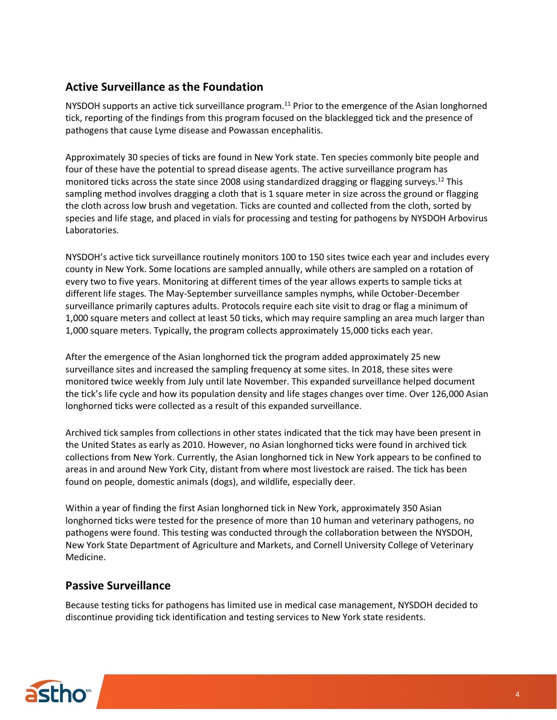#### **Active Surveillance as the Foundation**

NYSDOH supports an active tick surveillance program.<sup>11</sup> Prior to the emergence of the Asian longhorned tick, reporting of the findings from this program focused on the blacklegged tick and the presence of pathogens that cause Lyme disease and Powassan encephalitis.

Approximately 30 species of ticks are found in New York state. Ten species commonly bite people and four of these have the potential to spread disease agents. The active surveillance program has monitored ticks across the state since 2008 using standardized dragging or flagging surveys.<sup>12</sup> This sampling method involves dragging a cloth that is 1 square meter in size across the ground or flagging the cloth across low brush and vegetation. Ticks are counted and collected from the cloth, sorted by species and life stage, and placed in vials for processing and testing for pathogens by NYSDOH Arbovirus Laboratories.

NYSDOH's active tick surveillance routinely monitors 100 to 150 sites twice each year and includes every county in New York. Some locations are sampled annually, while others are sampled on a rotation of every two to five years. Monitoring at different times of the year allows experts to sample ticks at different life stages. The May-September surveillance samples nymphs, while October-December surveillance primarily captures adults. Protocols require each site visit to drag or flag a minimum of 1,000 square meters and collect at least 50 ticks, which may require sampling an area much larger than 1,000 square meters. Typically, the program collects approximately 15,000 ticks each year.

After the emergence of the Asian longhorned tick the program added approximately 25 new surveillance sites and increased the sampling frequency at some sites. In 2018, these sites were monitored twice weekly from July until late November. This expanded surveillance helped document the tick's life cycle and how its population density and life stages changes over time. Over 126,000 Asian longhorned ticks were collected as a result of this expanded surveillance.

Archived tick samples from collections in other states indicated that the tick may have been present in the United States as early as 2010. However, no Asian longhorned ticks were found in archived tick collections from New York. Currently, the Asian longhorned tick in New York appears to be confined to areas in and around New York City, distant from where most livestock are raised. The tick has been found on people, domestic animals (dogs), and wildlife, especially deer.

Within a year of finding the first Asian longhorned tick in New York, approximately 350 Asian longhorned ticks were tested for the presence of more than 10 human and veterinary pathogens, no pathogens were found. This testing was conducted through the collaboration between the NYSDOH, New York State Department of Agriculture and Markets, and Cornell University College of Veterinary Medicine.

#### **Passive Surveillance**

Because testing ticks for pathogens has limited use in medical case management, NYSDOH decided to discontinue providing tick identification and testing services to New York state residents.

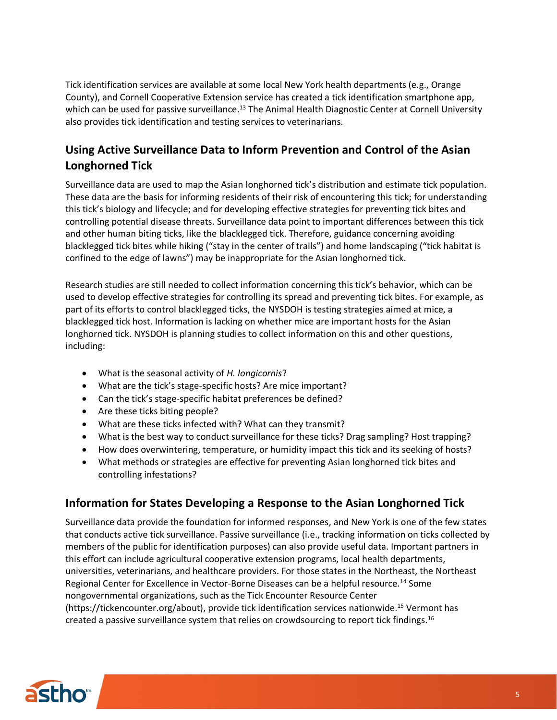Tick identification services are available at some local New York health departments (e.g., Orange County), and Cornell Cooperative Extension service has created a tick identification smartphone app, which can be used for passive surveillance.<sup>13</sup> The Animal Health Diagnostic Center at Cornell University also provides tick identification and testing services to veterinarians.

# **Using Active Surveillance Data to Inform Prevention and Control of the Asian Longhorned Tick**

Surveillance data are used to map the Asian longhorned tick's distribution and estimate tick population. These data are the basis for informing residents of their risk of encountering this tick; for understanding this tick's biology and lifecycle; and for developing effective strategies for preventing tick bites and controlling potential disease threats. Surveillance data point to important differences between this tick and other human biting ticks, like the blacklegged tick. Therefore, guidance concerning avoiding blacklegged tick bites while hiking ("stay in the center of trails") and home landscaping ("tick habitat is confined to the edge of lawns") may be inappropriate for the Asian longhorned tick.

Research studies are still needed to collect information concerning this tick's behavior, which can be used to develop effective strategies for controlling its spread and preventing tick bites. For example, as part of its efforts to control blacklegged ticks, the NYSDOH is testing strategies aimed at mice, a blacklegged tick host. Information is lacking on whether mice are important hosts for the Asian longhorned tick. NYSDOH is planning studies to collect information on this and other questions, including:

- What is the seasonal activity of *H. longicornis*?
- What are the tick's stage-specific hosts? Are mice important?
- Can the tick's stage-specific habitat preferences be defined?
- Are these ticks biting people?
- What are these ticks infected with? What can they transmit?
- What is the best way to conduct surveillance for these ticks? Drag sampling? Host trapping?
- How does overwintering, temperature, or humidity impact this tick and its seeking of hosts?
- What methods or strategies are effective for preventing Asian longhorned tick bites and controlling infestations?

#### **Information for States Developing a Response to the Asian Longhorned Tick**

Surveillance data provide the foundation for informed responses, and New York is one of the few states that conducts active tick surveillance. Passive surveillance (i.e., tracking information on ticks collected by members of the public for identification purposes) can also provide useful data. Important partners in this effort can include agricultural cooperative extension programs, local health departments, universities, veterinarians, and healthcare providers. For those states in the Northeast, the Northeast Regional Center for Excellence in Vector-Borne Diseases can be a helpful resource.<sup>14</sup> Some nongovernmental organizations, such as the Tick Encounter Resource Center (https://tickencounter.org/about), provide tick identification services nationwide.<sup>15</sup> Vermont has created a passive surveillance system that relies on crowdsourcing to report tick findings.<sup>16</sup>

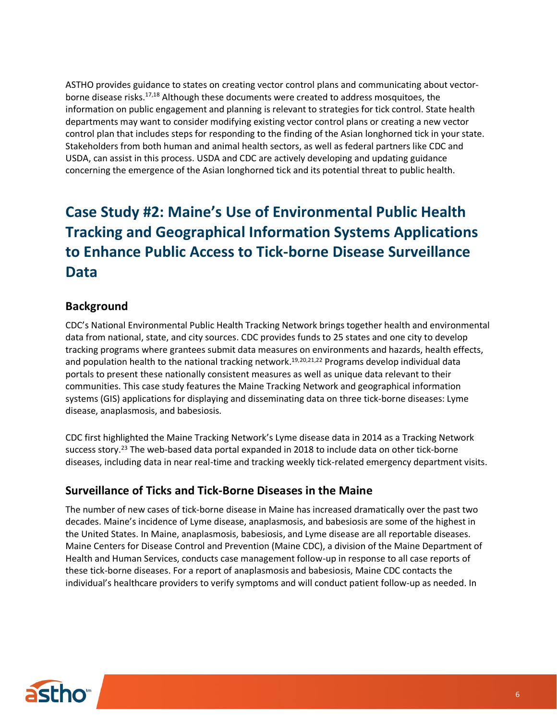ASTHO provides guidance to states on creating vector control plans and communicating about vectorborne disease risks.<sup>17,18</sup> Although these documents were created to address mosquitoes, the information on public engagement and planning is relevant to strategies for tick control. State health departments may want to consider modifying existing vector control plans or creating a new vector control plan that includes steps for responding to the finding of the Asian longhorned tick in your state. Stakeholders from both human and animal health sectors, as well as federal partners like CDC and USDA, can assist in this process. USDA and CDC are actively developing and updating guidance concerning the emergence of the Asian longhorned tick and its potential threat to public health.

# **Case Study #2: Maine's Use of Environmental Public Health Tracking and Geographical Information Systems Applications to Enhance Public Access to Tick-borne Disease Surveillance Data**

#### **Background**

CDC's National Environmental Public Health Tracking Network brings together health and environmental data from national, state, and city sources. CDC provides funds to 25 states and one city to develop tracking programs where grantees submit data measures on environments and hazards, health effects, and population health to the national tracking network. 19,20,21,22 Programs develop individual data portals to present these nationally consistent measures as well as unique data relevant to their communities. This case study features the Maine Tracking Network and geographical information systems (GIS) applications for displaying and disseminating data on three tick-borne diseases: Lyme disease, anaplasmosis, and babesiosis.

CDC first highlighted the Maine Tracking Network's Lyme disease data in 2014 as a Tracking Network success story. <sup>23</sup> The web-based data portal expanded in 2018 to include data on other tick-borne diseases, including data in near real-time and tracking weekly tick-related emergency department visits.

#### **Surveillance of Ticks and Tick-Borne Diseases in the Maine**

The number of new cases of tick-borne disease in Maine has increased dramatically over the past two decades. Maine's incidence of Lyme disease, anaplasmosis, and babesiosis are some of the highest in the United States. In Maine, anaplasmosis, babesiosis, and Lyme disease are all reportable diseases. Maine Centers for Disease Control and Prevention (Maine CDC), a division of the Maine Department of Health and Human Services, conducts case management follow-up in response to all case reports of these tick-borne diseases. For a report of anaplasmosis and babesiosis, Maine CDC contacts the individual's healthcare providers to verify symptoms and will conduct patient follow-up as needed. In

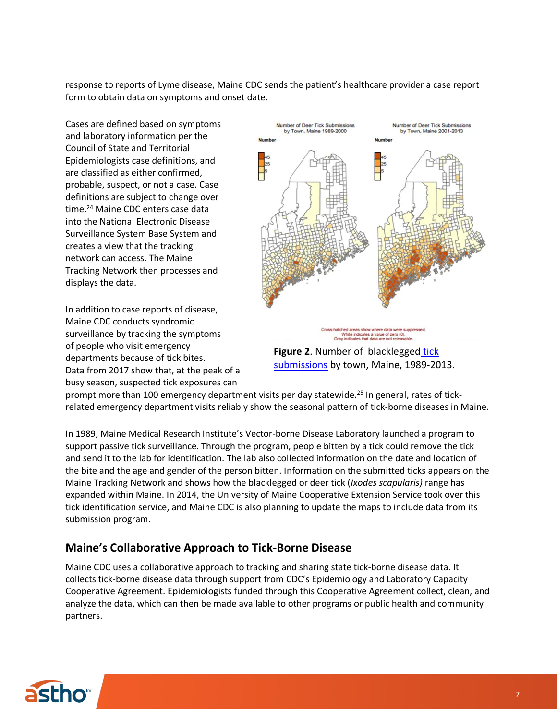response to reports of Lyme disease, Maine CDC sends the patient's healthcare provider a case report form to obtain data on symptoms and onset date.

Cases are defined based on symptoms and laboratory information per the Council of State and Territorial Epidemiologists case definitions, and are classified as either confirmed, probable, suspect, or not a case. Case definitions are subject to change over time.<sup>24</sup> Maine CDC enters case data into the National Electronic Disease Surveillance System Base System and creates a view that the tracking network can access. The Maine Tracking Network then processes and displays the data.

In addition to case reports of disease, Maine CDC conducts syndromic surveillance by tracking the symptoms of people who visit emergency departments because of tick bites. Data from 2017 show that, at the peak of a busy season, suspected tick exposures can



**Figure 2**. Number of [blacklegged](https://gateway.maine.gov/cognos/cgi-bin/cognosisapi.dll?b_action=cognosViewer&ui.action=run&ui.object=%2fcontent%2ffolder%5b%40name%3d%27CDC%20EOHP%20EPHT%20AVR%27%5d%2freportView%5b%40name%3d%27Maine%20Environmental%20Public%20Health%20Tracking%20%28EPHT%29%20Network%20-%20Public%20Data%20Portal%27%5d&cv.header=false&cv.toolbar=false) tick [submissions](https://gateway.maine.gov/cognos/cgi-bin/cognosisapi.dll?b_action=cognosViewer&ui.action=run&ui.object=%2fcontent%2ffolder%5b%40name%3d%27CDC%20EOHP%20EPHT%20AVR%27%5d%2freportView%5b%40name%3d%27Maine%20Environmental%20Public%20Health%20Tracking%20%28EPHT%29%20Network%20-%20Public%20Data%20Portal%27%5d&cv.header=false&cv.toolbar=false) by town, Maine, 1989-2013.

prompt more than 100 emergency department visits per day statewide.<sup>25</sup> In general, rates of tickrelated emergency department visits reliably show the seasonal pattern of tick-borne diseases in Maine.

In 1989, Maine Medical Research Institute's Vector-borne Disease Laboratory launched a program to support passive tick surveillance. Through the program, people bitten by a tick could remove the tick and send it to the lab for identification. The lab also collected information on the date and location of the bite and the age and gender of the person bitten. Information on the submitted ticks appears on the Maine Tracking Network and shows how the blacklegged or deer tick (*Ixodes scapularis)* range has expanded within Maine. In 2014, the University of Maine Cooperative Extension Service took over this tick identification service, and Maine CDC is also planning to update the maps to include data from its submission program.

## **Maine's Collaborative Approach to Tick-Borne Disease**

Maine CDC uses a collaborative approach to tracking and sharing state tick-borne disease data. It collects tick-borne disease data through support from CDC's Epidemiology and Laboratory Capacity Cooperative Agreement. Epidemiologists funded through this Cooperative Agreement collect, clean, and analyze the data, which can then be made available to other programs or public health and community partners.

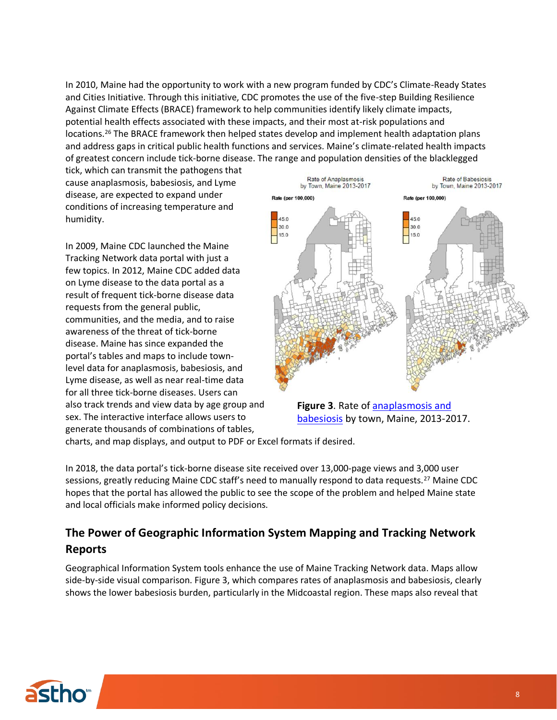In 2010, Maine had the opportunity to work with a new program funded by CDC's Climate-Ready States and Cities Initiative. Through this initiative, CDC promotes the use of the five-step Building Resilience Against Climate Effects (BRACE) framework to help communities identify likely climate impacts, potential health effects associated with these impacts, and their most at-risk populations and locations.<sup>26</sup> The BRACE framework then helped states develop and implement health adaptation plans and address gaps in critical public health functions and services. Maine's climate-related health impacts of greatest concern include tick-borne disease. The range and population densities of the blacklegged

tick, which can transmit the pathogens that cause anaplasmosis, babesiosis, and Lyme disease, are expected to expand under conditions of increasing temperature and humidity.

In 2009, Maine CDC launched the Maine Tracking Network data portal with just a few topics. In 2012, Maine CDC added data on Lyme disease to the data portal as a result of frequent tick-borne disease data requests from the general public, communities, and the media, and to raise awareness of the threat of tick-borne disease. Maine has since expanded the portal's tables and maps to include townlevel data for anaplasmosis, babesiosis, and Lyme disease, as well as near real-time data for all three tick-borne diseases. Users can also track trends and view data by age group and sex. The interactive interface allows users to generate thousands of combinations of tables,





charts, and map displays, and output to PDF or Excel formats if desired.

In 2018, the data portal's tick-borne disease site received over 13,000-page views and 3,000 user sessions, greatly reducing Maine CDC staff's need to manually respond to data requests.<sup>27</sup> Maine CDC hopes that the portal has allowed the public to see the scope of the problem and helped Maine state and local officials make informed policy decisions.

#### **The Power of Geographic Information System Mapping and Tracking Network Reports**

Geographical Information System tools enhance the use of Maine Tracking Network data. Maps allow side-by-side visual comparison. Figure 3, which compares rates of anaplasmosis and babesiosis, clearly shows the lower babesiosis burden, particularly in the Midcoastal region. These maps also reveal that

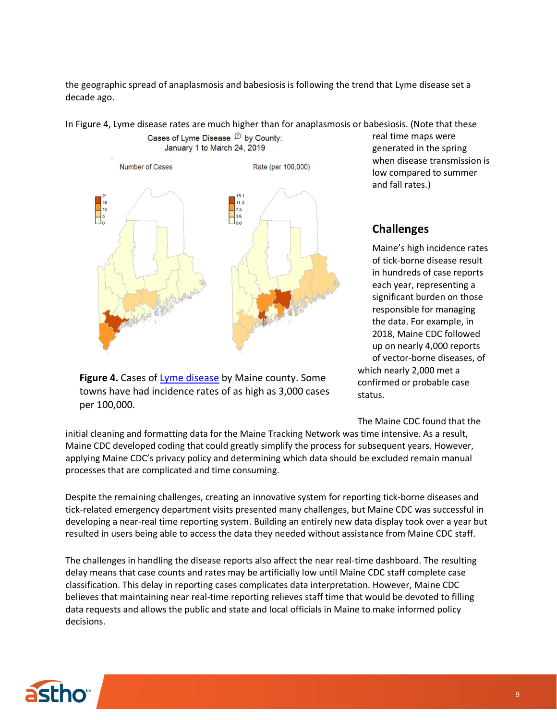the geographic spread of anaplasmosis and babesiosis is following the trend that Lyme disease set a decade ago.

In Figure 4, Lyme disease rates are much higher than for anaplasmosis or babesiosis. (Note that these



**Figure 4.** Cases of [Lyme disease](https://gateway.maine.gov/cognos/cgi-bin/cognosisapi.dll?b_action=cognosViewer&ui.action=run&ui.object=%2fcontent%2ffolder%5b%40name%3d%27CDC%20EOHP%20EPHT%20AVR%27%5d%2freportView%5b%40name%3d%27Maine%20Environmental%20Public%20Health%20Tracking%20%28EPHT%29%20Network%20-%20Public%20Data%20Portal%27%5d&cv.header=false&cv.toolbar=false) by Maine county. Some towns have had incidence rates of as high as 3,000 cases per 100,000.

real time maps were generated in the spring when disease transmission is low compared to summer and fall rates.)

# **Challenges**

Maine's high incidence rates of tick-borne disease result in hundreds of case reports each year, representing a significant burden on those responsible for managing the data. For example, in 2018, Maine CDC followed up on nearly 4,000 reports of vector-borne diseases, of which nearly 2,000 met a confirmed or probable case status.

The Maine CDC found that the

initial cleaning and formatting data for the Maine Tracking Network was time intensive. As a result, Maine CDC developed coding that could greatly simplify the process for subsequent years. However, applying Maine CDC's privacy policy and determining which data should be excluded remain manual processes that are complicated and time consuming.

Despite the remaining challenges, creating an innovative system for reporting tick-borne diseases and tick-related emergency department visits presented many challenges, but Maine CDC was successful in developing a near-real time reporting system. Building an entirely new data display took over a year but resulted in users being able to access the data they needed without assistance from Maine CDC staff.

The challenges in handling the disease reports also affect the near real-time dashboard. The resulting delay means that case counts and rates may be artificially low until Maine CDC staff complete case classification. This delay in reporting cases complicates data interpretation. However, Maine CDC believes that maintaining near real-time reporting relieves staff time that would be devoted to filling data requests and allows the public and state and local officials in Maine to make informed policy decisions.

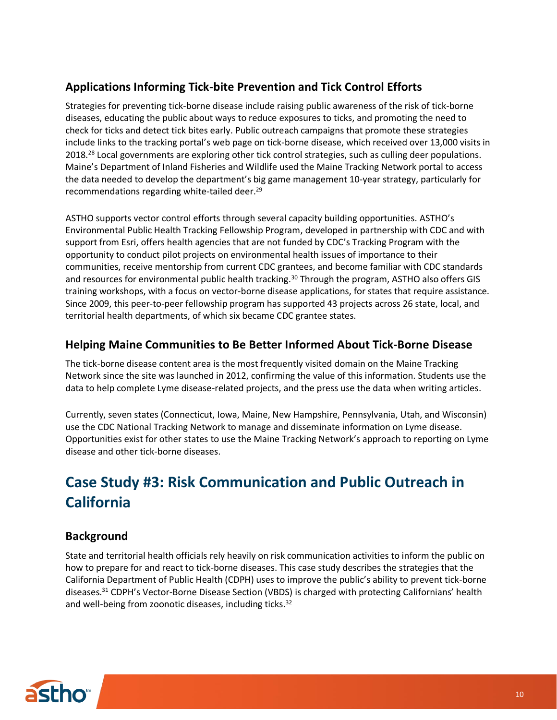# **Applications Informing Tick-bite Prevention and Tick Control Efforts**

Strategies for preventing tick-borne disease include raising public awareness of the risk of tick-borne diseases, educating the public about ways to reduce exposures to ticks, and promoting the need to check for ticks and detect tick bites early. Public outreach campaigns that promote these strategies include links to the tracking portal's web page on tick-borne disease, which received over 13,000 visits in 2018.<sup>28</sup> Local governments are exploring other tick control strategies, such as culling deer populations. Maine's Department of Inland Fisheries and Wildlife used the Maine Tracking Network portal to access the data needed to develop the department's big game management 10-year strategy, particularly for recommendations regarding white-tailed deer.<sup>29</sup>

ASTHO supports vector control efforts through several capacity building opportunities. ASTHO's Environmental Public Health Tracking Fellowship Program, developed in partnership with CDC and with support from Esri, offers health agencies that are not funded by CDC's Tracking Program with the opportunity to conduct pilot projects on environmental health issues of importance to their communities, receive mentorship from current CDC grantees, and become familiar with CDC standards and resources for environmental public health tracking.<sup>30</sup> Through the program, ASTHO also offers GIS training workshops, with a focus on vector-borne disease applications, for states that require assistance. Since 2009, this peer-to-peer fellowship program has supported 43 projects across 26 state, local, and territorial health departments, of which six became CDC grantee states.

#### **Helping Maine Communities to Be Better Informed About Tick-Borne Disease**

The tick-borne disease content area is the most frequently visited domain on the Maine Tracking Network since the site was launched in 2012, confirming the value of this information. Students use the data to help complete Lyme disease-related projects, and the press use the data when writing articles.

Currently, seven states (Connecticut, Iowa, Maine, New Hampshire, Pennsylvania, Utah, and Wisconsin) use the CDC National Tracking Network to manage and disseminate information on Lyme disease. Opportunities exist for other states to use the Maine Tracking Network's approach to reporting on Lyme disease and other tick-borne diseases.

# **Case Study #3: Risk Communication and Public Outreach in California**

## **Background**

State and territorial health officials rely heavily on risk communication activities to inform the public on how to prepare for and react to tick-borne diseases. This case study describes the strategies that the California Department of Public Health (CDPH) uses to improve the public's ability to prevent tick-borne diseases. <sup>31</sup> CDPH's Vector-Borne Disease Section (VBDS) is charged with protecting Californians' health and well-being from zoonotic diseases, including ticks.<sup>32</sup>

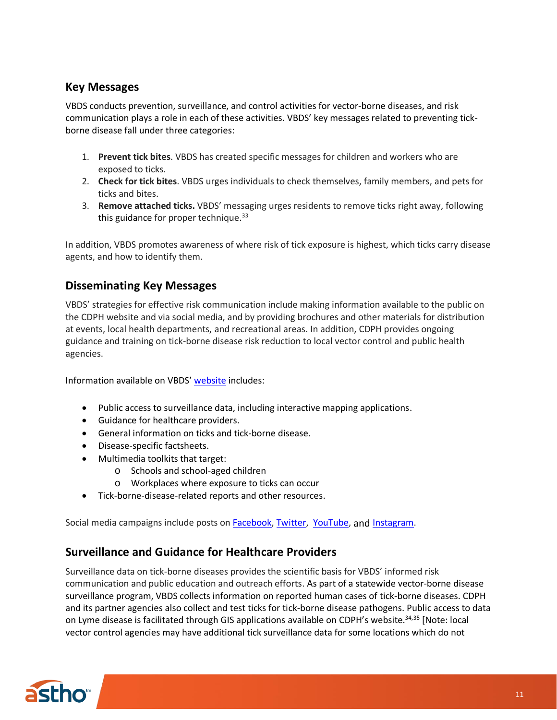#### **Key Messages**

VBDS conducts prevention, surveillance, and control activities for vector-borne diseases, and risk communication plays a role in each of these activities. VBDS' key messages related to preventing tickborne disease fall under three categories:

- 1. **Prevent tick bites**. VBDS has created specific messages for children and workers who are exposed to ticks.
- 2. **Check for tick bites**. VBDS urges individuals to check themselves, family members, and pets for ticks and bites.
- 3. **Remove attached ticks.** VBDS' messaging urges residents to remove ticks right away, following this guidance for proper technique. $33$

In addition, VBDS promotes awareness of where risk of tick exposure is highest, which ticks carry disease agents, and how to identify them.

#### **Disseminating Key Messages**

VBDS' strategies for effective risk communication include making information available to the public on the CDPH website and via social media, and by providing brochures and other materials for distribution at events, local health departments, and recreational areas. In addition, CDPH provides ongoing guidance and training on tick-borne disease risk reduction to local vector control and public health agencies.

Information available on VBDS' [website](https://www.cdph.ca.gov/Programs/CID/DCDC/Pages/VBDS.aspx) includes:

- Public access to surveillance data, including interactive mapping applications.
- Guidance for healthcare providers.
- General information on ticks and tick-borne disease.
- Disease-specific factsheets.
- Multimedia toolkits that target:
	- o Schools and school-aged children
	- o Workplaces where exposure to ticks can occur
- Tick-borne-disease-related reports and other resources.

Social media campaigns include posts on **Facebook**, [Twitter,](https://twitter.com/CAPublicHealth) [YouTube,](https://www.youtube.com/user/CAPublicHealth) and [Instagram.](https://www.instagram.com/capublichealth/?hl=en)

#### **Surveillance and Guidance for Healthcare Providers**

Surveillance data on tick-borne diseases provides the scientific basis for VBDS' informed risk communication and public education and outreach efforts. As part of a statewide vector-borne disease surveillance program, VBDS collects information on reported human cases of tick-borne diseases. CDPH and its partner agencies also collect and test ticks for tick-borne disease pathogens. Public access to data on Lyme disease is facilitated through GIS applications available on CDPH's website.<sup>34,35</sup> [Note: local vector control agencies may have additional tick surveillance data for some locations which do not

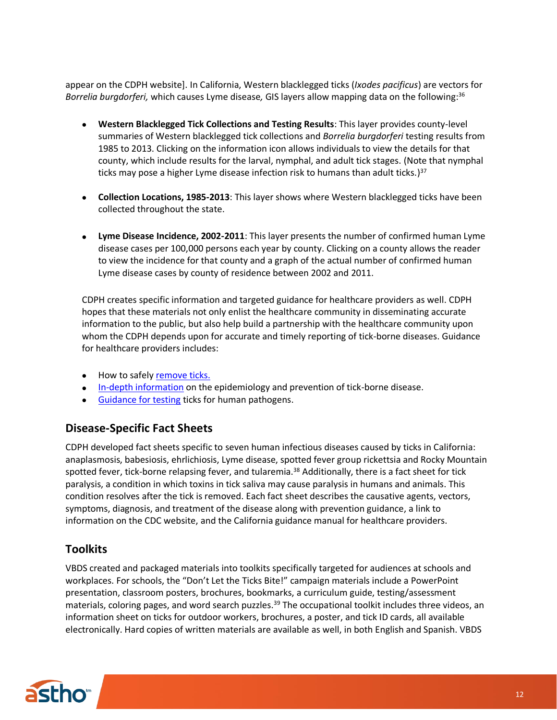appear on the CDPH website]. In California, Western blacklegged ticks (*Ixodes pacificus*) are vectors for *Borrelia burgdorferi,* which causes Lyme disease*,* GIS layers allow mapping data on the following: 36

- **Western Blacklegged Tick Collections and Testing Results**: This layer provides county-level summaries of Western blacklegged tick collections and *Borrelia burgdorferi* testing results from 1985 to 2013. Clicking on the information icon allows individuals to view the details for that county, which include results for the larval, nymphal, and adult tick stages. (Note that nymphal ticks may pose a higher Lyme disease infection risk to humans than adult ticks.) 37
- **Collection Locations, 1985-2013**: This layer shows where Western blacklegged ticks have been collected throughout the state.
- **Lyme Disease Incidence, 2002-2011**: This layer presents the number of confirmed human Lyme disease cases per 100,000 persons each year by county. Clicking on a county allows the reader to view the incidence for that county and a graph of the actual number of confirmed human Lyme disease cases by county of residence between 2002 and 2011.

CDPH creates specific information and targeted guidance for healthcare providers as well. CDPH hopes that these materials not only enlist the healthcare community in disseminating accurate information to the public, but also help build a partnership with the healthcare community upon whom the CDPH depends upon for accurate and timely reporting of tick-borne diseases. Guidance for healthcare providers includes:

- How to safely [remove](https://www.cdph.ca.gov/Programs/CID/DCDC/CDPH%20Document%20Library/HeyDocIveBeenBittenByATick.pdf) ticks.
- [In-depth information](http://westnile.ca.gov/pdfs/EpidemiologyandPreventionofTBDinCA.pdf) on the epidemiology and prevention of tick-borne disease.
- [Guidance for testing](https://www.cdph.ca.gov/Programs/CID/DCDC/CDPH%20Document%20Library/TickTestingQA.pdf) ticks for human pathogens.

#### **Disease-Specific Fact Sheets**

CDPH developed fact sheets specific to seven human infectious diseases caused by ticks in California: anaplasmosis, babesiosis, ehrlichiosis, Lyme disease, spotted fever group rickettsia and Rocky Mountain spotted fever, tick-borne relapsing fever, and tularemia. <sup>38</sup> Additionally, there is a fact sheet for tick paralysis, a condition in which toxins in tick saliva may cause paralysis in humans and animals. This condition resolves after the tick is removed. Each fact sheet describes the causative agents, vectors, symptoms, diagnosis, and treatment of the disease along with prevention guidance, a link to information on the CDC website, and the California guidance manual for healthcare providers.

#### **Toolkits**

VBDS created and packaged materials into toolkits specifically targeted for audiences at schools and workplaces. For schools, the "Don't Let the Ticks Bite!" campaign materials include a PowerPoint presentation, classroom posters, brochures, bookmarks, a curriculum guide, testing/assessment materials, coloring pages, and word search puzzles.<sup>39</sup> The occupational toolkit includes three videos, an information sheet on ticks for outdoor workers, brochures, a poster, and tick ID cards, all available electronically. Hard copies of written materials are available as well, in both English and Spanish. VBDS

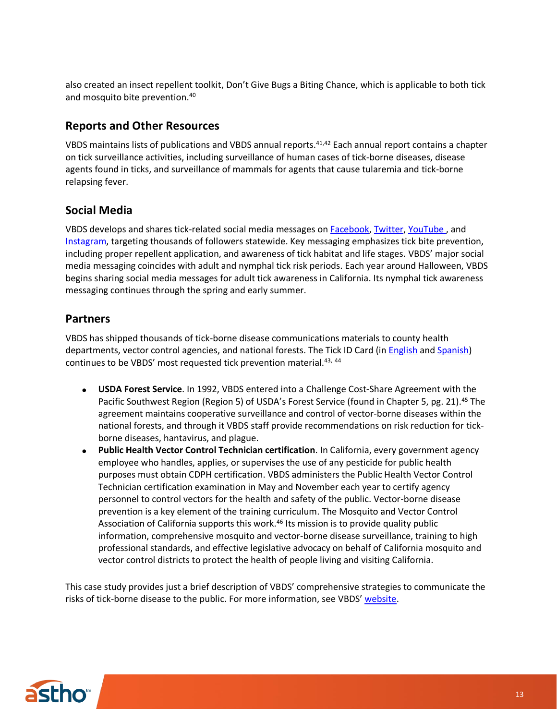also created an insect repellent toolkit, Don't Give Bugs a Biting Chance, which is applicable to both tick and mosquito bite prevention.<sup>40</sup>

#### **Reports and Other Resources**

VBDS maintains lists of publications and VBDS annual reports. 41,42 Each annual report contains a chapter on tick surveillance activities, including surveillance of human cases of tick-borne diseases, disease agents found in ticks, and surveillance of mammals for agents that cause tularemia and tick-borne relapsing fever.

#### **Social Media**

VBDS develops and shares tick-related social media messages on [Facebook,](https://www.facebook.com/CAPublicHealth/) [Twitter,](https://twitter.com/capublichealth?lang=en) [YouTube](https://www.youtube.com/user/CAPublicHealth) , and [Instagram,](https://www.instagram.com/capublichealth/?hl=en) targeting thousands of followers statewide. Key messaging emphasizes tick bite prevention, including proper repellent application, and awareness of tick habitat and life stages. VBDS' major social media messaging coincides with adult and nymphal tick risk periods. Each year around Halloween, VBDS begins sharing social media messages for adult tick awareness in California. Its nymphal tick awareness messaging continues through the spring and early summer.

#### **Partners**

VBDS has shipped thousands of tick-borne disease communications materials to county health departments, vector control agencies, and national forests. The Tick ID Card (in [English](https://www.cdph.ca.gov/Programs/CID/DCDC/CDPH%20Document%20Library/CommonCATicks.pdf) an[d Spanish\)](https://www.cdph.ca.gov/Programs/CID/DCDC/CDPH%20Document%20Library/GarrapatasCom%C3%BAnesdeCalifornia.pdf) continues to be VBDS' most requested tick prevention material.43, <sup>44</sup>

- **USDA Forest Service**. In 1992, VBDS entered into a Challenge Cost-Share Agreement with the Pacific Southwest Region (Region 5) of USDA's Forest Service (found in Chapter 5, pg. 21). <sup>45</sup> The agreement maintains cooperative surveillance and control of vector-borne diseases within the national forests, and through it VBDS staff provide recommendations on risk reduction for tickborne diseases, hantavirus, and plague.
- **Public Health Vector Control Technician certification**. In California, every government agency employee who handles, applies, or supervises the use of any pesticide for public health purposes must obtain CDPH certification. VBDS administers the Public Health Vector Control Technician certification examination in May and November each year to certify agency personnel to control vectors for the health and safety of the public. Vector-borne disease prevention is a key element of the training curriculum. The Mosquito and Vector Control Association of California supports this work. <sup>46</sup> Its mission is to provide quality public information, comprehensive mosquito and vector-borne disease surveillance, training to high professional standards, and effective legislative advocacy on behalf of California mosquito and vector control districts to protect the health of people living and visiting California.

This case study provides just a brief description of VBDS' comprehensive strategies to communicate the risks of tick-borne disease to the public. For more information, see VBDS' [website.](https://www.cdph.ca.gov/Programs/CID/DCDC/Pages/VBDS.aspx)

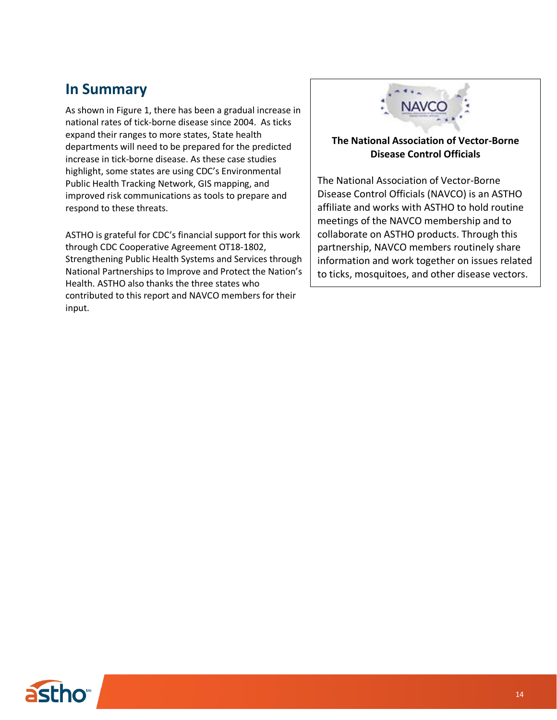# **In Summary**

As shown in Figure 1, there has been a gradual increase in national rates of tick-borne disease since 2004. As ticks expand their ranges to more states, State health departments will need to be prepared for the predicted increase in tick-borne disease. As these case studies highlight, some states are using CDC's Environmental Public Health Tracking Network, GIS mapping, and improved risk communications as tools to prepare and respond to these threats.

ASTHO is grateful for CDC's financial support for this work through CDC Cooperative Agreement OT18-1802, Strengthening Public Health Systems and Services through National Partnerships to Improve and Protect the Nation's Health. ASTHO also thanks the three states who contributed to this report and NAVCO members for their input.



#### **The National Association of Vector-Borne Disease Control Officials**

The National Association of Vector-Borne Disease Control Officials (NAVCO) is an ASTHO affiliate and works with ASTHO to hold routine meetings of the NAVCO membership and to collaborate on ASTHO products. Through this partnership, NAVCO members routinely share information and work together on issues related to ticks, mosquitoes, and other disease vectors.

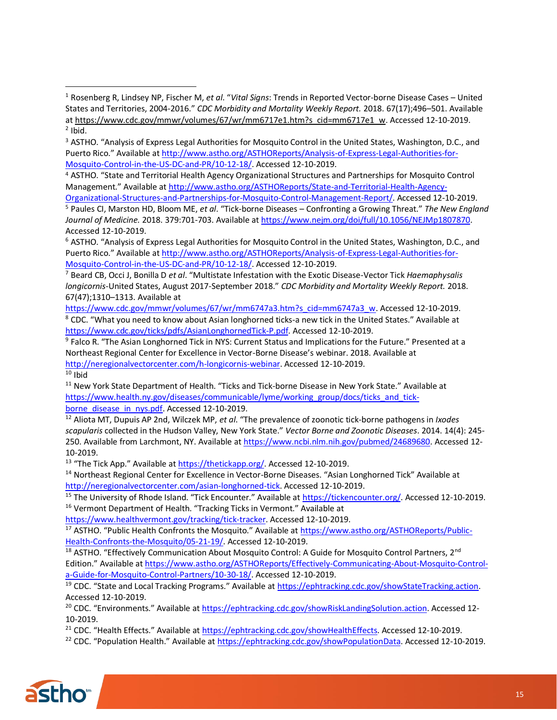<sup>4</sup> ASTHO. "State and Territorial Health Agency Organizational Structures and Partnerships for Mosquito Control Management." Available at [http://www.astho.org/ASTHOReports/State-and-Territorial-Health-Agency-](http://www.astho.org/ASTHOReports/State-and-Territorial-Health-Agency-Organizational-Structures-and-Partnerships-for-Mosquito-Control-Management-Report/)

[Organizational-Structures-and-Partnerships-for-Mosquito-Control-Management-Report/.](http://www.astho.org/ASTHOReports/State-and-Territorial-Health-Agency-Organizational-Structures-and-Partnerships-for-Mosquito-Control-Management-Report/) Accessed 12-10-2019. <sup>5</sup> Paules CI, Marston HD, Bloom ME, *et al*. "Tick-borne Diseases – Confronting a Growing Threat." *The New England Journal of Medicine.* 2018. 379:701-703. Available at [https://www.nejm.org/doi/full/10.1056/NEJMp1807870.](https://www.nejm.org/doi/full/10.1056/NEJMp1807870) Accessed 12-10-2019.

<sup>6</sup> ASTHO. "Analysis of Express Legal Authorities for Mosquito Control in the United States, Washington, D.C., and Puerto Rico." Available at [http://www.astho.org/ASTHOReports/Analysis-of-Express-Legal-Authorities-for-](http://www.astho.org/ASTHOReports/Analysis-of-Express-Legal-Authorities-for-Mosquito-Control-in-the-US-DC-and-PR/10-12-18/)[Mosquito-Control-in-the-US-DC-and-PR/10-12-18/.](http://www.astho.org/ASTHOReports/Analysis-of-Express-Legal-Authorities-for-Mosquito-Control-in-the-US-DC-and-PR/10-12-18/) Accessed 12-10-2019.

<sup>7</sup> Beard CB, Occi J, Bonilla D *et al*. "Multistate Infestation with the Exotic Disease-Vector Tick *Haemaphysalis longicornis*-United States, August 2017-September 2018." *CDC Morbidity and Mortality Weekly Report.* 2018. 67(47);1310–1313. Available at

[https://www.cdc.gov/mmwr/volumes/67/wr/mm6747a3.htm?s\\_cid=mm6747a3\\_w.](https://www.cdc.gov/mmwr/volumes/67/wr/mm6747a3.htm?s_cid=mm6747a3_w) Accessed 12-10-2019. <sup>8</sup> CDC. "What you need to know about Asian longhorned ticks-a new tick in the United States." Available at [https://www.cdc.gov/ticks/pdfs/AsianLonghornedTick-P.pdf.](https://www.cdc.gov/ticks/pdfs/AsianLonghornedTick-P.pdf) Accessed 12-10-2019.

<sup>9</sup> Falco R. "The Asian Longhorned Tick in NYS: Current Status and Implications for the Future." Presented at a Northeast Regional Center for Excellence in Vector-Borne Disease's webinar. 2018. Available at [http://neregionalvectorcenter.com/h-longicornis-webinar.](http://neregionalvectorcenter.com/h-longicornis-webinar) Accessed 12-10-2019.  $10$  Ibid

<sup>11</sup> New York State Department of Health. "Ticks and Tick-borne Disease in New York State." Available at [https://www.health.ny.gov/diseases/communicable/lyme/working\\_group/docs/ticks\\_and\\_tick](https://www.health.ny.gov/diseases/communicable/lyme/working_group/docs/ticks_and_tick-borne_disease_in_nys.pdf)[borne\\_disease\\_in\\_nys.pdf.](https://www.health.ny.gov/diseases/communicable/lyme/working_group/docs/ticks_and_tick-borne_disease_in_nys.pdf) Accessed 12-10-2019.

<sup>12</sup> Aliota MT, Dupuis AP 2nd, Wilczek MP, *et al*. "The prevalence of zoonotic tick-borne pathogens in *Ixodes scapularis* collected in the Hudson Valley, New York State." *Vector Borne and Zoonotic Diseases*. 2014. 14(4): 245- 250. Available from Larchmont, NY. Available a[t https://www.ncbi.nlm.nih.gov/pubmed/24689680.](https://www.ncbi.nlm.nih.gov/pubmed/24689680) Accessed 12- 10-2019.

<sup>13</sup> "The Tick App." Available at [https://thetickapp.org/.](https://thetickapp.org/) Accessed 12-10-2019.

<sup>14</sup> Northeast Regional Center for Excellence in Vector-Borne Diseases. "Asian Longhorned Tick" Available at [http://neregionalvectorcenter.com/asian-longhorned-tick.](http://neregionalvectorcenter.com/asian-longhorned-tick) Accessed 12-10-2019.

<sup>15</sup> The University of Rhode Island. "Tick Encounter." Available at [https://tickencounter.org/.](https://tickencounter.org/) Accessed 12-10-2019. <sup>16</sup> Vermont Department of Health. "Tracking Ticks in Vermont." Available at

[https://www.healthvermont.gov/tracking/tick-tracker.](https://www.healthvermont.gov/tracking/tick-tracker) Accessed 12-10-2019.

<sup>17</sup> ASTHO. "Public Health Confronts the Mosquito." Available at [https://www.astho.org/ASTHOReports/Public-](https://www.astho.org/ASTHOReports/Public-Health-Confronts-the-Mosquito/05-21-19/)[Health-Confronts-the-Mosquito/05-21-19/.](https://www.astho.org/ASTHOReports/Public-Health-Confronts-the-Mosquito/05-21-19/) Accessed 12-10-2019.

<sup>18</sup> ASTHO. "Effectively Communication About Mosquito Control: A Guide for Mosquito Control Partners, 2<sup>nd</sup> Edition." Available at [https://www.astho.org/ASTHOReports/Effectively-Communicating-About-Mosquito-Control](https://www.astho.org/ASTHOReports/Effectively-Communicating-About-Mosquito-Control-a-Guide-for-Mosquito-Control-Partners/10-30-18/)[a-Guide-for-Mosquito-Control-Partners/10-30-18/.](https://www.astho.org/ASTHOReports/Effectively-Communicating-About-Mosquito-Control-a-Guide-for-Mosquito-Control-Partners/10-30-18/) Accessed 12-10-2019.

<sup>19</sup> CDC. "State and Local Tracking Programs." Available at [https://ephtracking.cdc.gov/showStateTracking.action.](https://ephtracking.cdc.gov/showStateTracking.action) Accessed 12-10-2019.

<sup>20</sup> CDC. "Environments." Available at [https://ephtracking.cdc.gov/showRiskLandingSolution.action.](https://ephtracking.cdc.gov/showRiskLandingSolution.action) Accessed 12- 10-2019.

<sup>21</sup> CDC. "Health Effects." Available at [https://ephtracking.cdc.gov/showHealthEffects.](https://ephtracking.cdc.gov/showHealthEffects) Accessed 12-10-2019.

<sup>22</sup> CDC. "Population Health." Available at [https://ephtracking.cdc.gov/showPopulationData.](https://ephtracking.cdc.gov/showPopulationData) Accessed 12-10-2019.



<sup>1</sup> Rosenberg R, Lindsey NP, Fischer M, *et al*. "*Vital Signs*: Trends in Reported Vector-borne Disease Cases – United States and Territories, 2004-2016." *CDC Morbidity and Mortality Weekly Report.* 2018. 67(17);496–501. Available a[t https://www.cdc.gov/mmwr/volumes/67/wr/mm6717e1.htm?s\\_cid=mm6717e1\\_w.](https://www.cdc.gov/mmwr/volumes/67/wr/mm6717e1.htm?s_cid=mm6717e1_w) Accessed 12-10-2019.  $2$  Ibid.

<sup>&</sup>lt;sup>3</sup> ASTHO. "Analysis of Express Legal Authorities for Mosquito Control in the United States, Washington, D.C., and Puerto Rico." Available at [http://www.astho.org/ASTHOReports/Analysis-of-Express-Legal-Authorities-for-](http://www.astho.org/ASTHOReports/Analysis-of-Express-Legal-Authorities-for-Mosquito-Control-in-the-US-DC-and-PR/10-12-18/)[Mosquito-Control-in-the-US-DC-and-PR/10-12-18/.](http://www.astho.org/ASTHOReports/Analysis-of-Express-Legal-Authorities-for-Mosquito-Control-in-the-US-DC-and-PR/10-12-18/) Accessed 12-10-2019.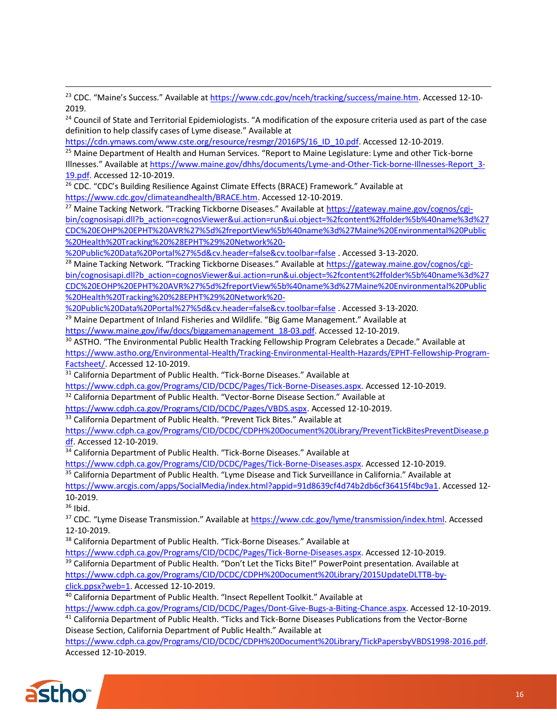<sup>23</sup> CDC. "Maine's Success." Available at [https://www.cdc.gov/nceh/tracking/success/maine.htm.](https://www.cdc.gov/nceh/tracking/success/maine.htm) Accessed 12-10-2019.

<sup>24</sup> Council of State and Territorial Epidemiologists. "A modification of the exposure criteria used as part of the case definition to help classify cases of Lyme disease." Available at

[https://cdn.ymaws.com/www.cste.org/resource/resmgr/2016PS/16\\_ID\\_10.pdf.](https://cdn.ymaws.com/www.cste.org/resource/resmgr/2016PS/16_ID_10.pdf) Accessed 12-10-2019.

<sup>25</sup> Maine Department of Health and Human Services. "Report to Maine Legislature: Lyme and other Tick-borne Illnesses." Available at [https://www.maine.gov/dhhs/documents/Lyme-and-Other-Tick-borne-Illnesses-Report\\_3-](https://www.maine.gov/dhhs/documents/Lyme-and-Other-Tickborne-Illnesses-Report_3-19.pdf) [19.pdf.](https://www.maine.gov/dhhs/documents/Lyme-and-Other-Tickborne-Illnesses-Report_3-19.pdf) Accessed 12-10-2019.

<sup>26</sup> CDC. "CDC's Building Resilience Against Climate Effects (BRACE) Framework." Available at [https://www.cdc.gov/climateandhealth/BRACE.htm.](https://www.cdc.gov/climateandhealth/BRACE.htm) Accessed 12-10-2019.

<sup>27</sup> Maine Tacking Network. "Tracking Tickborne Diseases." Available at [https://gateway.maine.gov/cognos/cgi](https://gateway.maine.gov/cognos/cgi-bin/cognosisapi.dll?b_action=cognosViewer&ui.action=run&ui.object=%2fcontent%2ffolder%5b%40name%3d%27CDC%20EOHP%20EPHT%20AVR%27%5d%2freportView%5b%40name%3d%27Maine%20Environmental%20Public%20Health%20Tracking%20%28EPHT%29%20Network%20-%20Public%20Data%20Portal%27%5d&cv.header=false&cv.toolbar=false)[bin/cognosisapi.dll?b\\_action=cognosViewer&ui.action=run&ui.object=%2fcontent%2ffolder%5b%40name%3d%27](https://gateway.maine.gov/cognos/cgi-bin/cognosisapi.dll?b_action=cognosViewer&ui.action=run&ui.object=%2fcontent%2ffolder%5b%40name%3d%27CDC%20EOHP%20EPHT%20AVR%27%5d%2freportView%5b%40name%3d%27Maine%20Environmental%20Public%20Health%20Tracking%20%28EPHT%29%20Network%20-%20Public%20Data%20Portal%27%5d&cv.header=false&cv.toolbar=false) [CDC%20EOHP%20EPHT%20AVR%27%5d%2freportView%5b%40name%3d%27Maine%20Environmental%20Public](https://gateway.maine.gov/cognos/cgi-bin/cognosisapi.dll?b_action=cognosViewer&ui.action=run&ui.object=%2fcontent%2ffolder%5b%40name%3d%27CDC%20EOHP%20EPHT%20AVR%27%5d%2freportView%5b%40name%3d%27Maine%20Environmental%20Public%20Health%20Tracking%20%28EPHT%29%20Network%20-%20Public%20Data%20Portal%27%5d&cv.header=false&cv.toolbar=false) [%20Health%20Tracking%20%28EPHT%29%20Network%20-](https://gateway.maine.gov/cognos/cgi-bin/cognosisapi.dll?b_action=cognosViewer&ui.action=run&ui.object=%2fcontent%2ffolder%5b%40name%3d%27CDC%20EOHP%20EPHT%20AVR%27%5d%2freportView%5b%40name%3d%27Maine%20Environmental%20Public%20Health%20Tracking%20%28EPHT%29%20Network%20-%20Public%20Data%20Portal%27%5d&cv.header=false&cv.toolbar=false)

[%20Public%20Data%20Portal%27%5d&cv.header=false&cv.toolbar=false](https://gateway.maine.gov/cognos/cgi-bin/cognosisapi.dll?b_action=cognosViewer&ui.action=run&ui.object=%2fcontent%2ffolder%5b%40name%3d%27CDC%20EOHP%20EPHT%20AVR%27%5d%2freportView%5b%40name%3d%27Maine%20Environmental%20Public%20Health%20Tracking%20%28EPHT%29%20Network%20-%20Public%20Data%20Portal%27%5d&cv.header=false&cv.toolbar=false) . Accessed 3-13-2020.

<sup>28</sup> Maine Tacking Network. "Tracking Tickborne Diseases." Available at [https://gateway.maine.gov/cognos/cgi](https://gateway.maine.gov/cognos/cgi-bin/cognosisapi.dll?b_action=cognosViewer&ui.action=run&ui.object=%2fcontent%2ffolder%5b%40name%3d%27CDC%20EOHP%20EPHT%20AVR%27%5d%2freportView%5b%40name%3d%27Maine%20Environmental%20Public%20Health%20Tracking%20%28EPHT%29%20Network%20-%20Public%20Data%20Portal%27%5d&cv.header=false&cv.toolbar=false)[bin/cognosisapi.dll?b\\_action=cognosViewer&ui.action=run&ui.object=%2fcontent%2ffolder%5b%40name%3d%27](https://gateway.maine.gov/cognos/cgi-bin/cognosisapi.dll?b_action=cognosViewer&ui.action=run&ui.object=%2fcontent%2ffolder%5b%40name%3d%27CDC%20EOHP%20EPHT%20AVR%27%5d%2freportView%5b%40name%3d%27Maine%20Environmental%20Public%20Health%20Tracking%20%28EPHT%29%20Network%20-%20Public%20Data%20Portal%27%5d&cv.header=false&cv.toolbar=false) [CDC%20EOHP%20EPHT%20AVR%27%5d%2freportView%5b%40name%3d%27Maine%20Environmental%20Public](https://gateway.maine.gov/cognos/cgi-bin/cognosisapi.dll?b_action=cognosViewer&ui.action=run&ui.object=%2fcontent%2ffolder%5b%40name%3d%27CDC%20EOHP%20EPHT%20AVR%27%5d%2freportView%5b%40name%3d%27Maine%20Environmental%20Public%20Health%20Tracking%20%28EPHT%29%20Network%20-%20Public%20Data%20Portal%27%5d&cv.header=false&cv.toolbar=false) [%20Health%20Tracking%20%28EPHT%29%20Network%20-](https://gateway.maine.gov/cognos/cgi-bin/cognosisapi.dll?b_action=cognosViewer&ui.action=run&ui.object=%2fcontent%2ffolder%5b%40name%3d%27CDC%20EOHP%20EPHT%20AVR%27%5d%2freportView%5b%40name%3d%27Maine%20Environmental%20Public%20Health%20Tracking%20%28EPHT%29%20Network%20-%20Public%20Data%20Portal%27%5d&cv.header=false&cv.toolbar=false)

[%20Public%20Data%20Portal%27%5d&cv.header=false&cv.toolbar=false](https://gateway.maine.gov/cognos/cgi-bin/cognosisapi.dll?b_action=cognosViewer&ui.action=run&ui.object=%2fcontent%2ffolder%5b%40name%3d%27CDC%20EOHP%20EPHT%20AVR%27%5d%2freportView%5b%40name%3d%27Maine%20Environmental%20Public%20Health%20Tracking%20%28EPHT%29%20Network%20-%20Public%20Data%20Portal%27%5d&cv.header=false&cv.toolbar=false) . Accessed 3-13-2020.

<sup>29</sup> Maine Department of Inland Fisheries and Wildlife. "Big Game Management." Available at

[https://www.maine.gov/ifw/docs/biggamemanagement\\_18-03.pdf.](https://www.maine.gov/ifw/docs/biggamemanagement_18-03.pdf) Accessed 12-10-2019.

<sup>30</sup> ASTHO. "The Environmental Public Health Tracking Fellowship Program Celebrates a Decade." Available at [https://www.astho.org/Environmental-Health/Tracking-Environmental-Health-Hazards/EPHT-Fellowship-Program-](https://www.astho.org/Environmental-Health/Tracking-Environmental-Health-Hazards/EPHT-Fellowship-Program-Factsheet/)[Factsheet/.](https://www.astho.org/Environmental-Health/Tracking-Environmental-Health-Hazards/EPHT-Fellowship-Program-Factsheet/) Accessed 12-10-2019.

<sup>31</sup> California Department of Public Health. "Tick-Borne Diseases." Available at

[https://www.cdph.ca.gov/Programs/CID/DCDC/Pages/Tick-Borne-Diseases.aspx.](https://www.cdph.ca.gov/Programs/CID/DCDC/Pages/Tick-Borne-Diseases.aspx) Accessed 12-10-2019.

<sup>32</sup> California Department of Public Health. "Vector-Borne Disease Section." Available at

[https://www.cdph.ca.gov/Programs/CID/DCDC/Pages/VBDS.aspx.](https://www.cdph.ca.gov/Programs/CID/DCDC/Pages/VBDS.aspx) Accessed 12-10-2019.

<sup>33</sup> California Department of Public Health. "Prevent Tick Bites." Available at

[https://www.cdph.ca.gov/Programs/CID/DCDC/CDPH%20Document%20Library/PreventTickBitesPreventDisease.p](https://www.cdph.ca.gov/Programs/CID/DCDC/CDPH%20Document%20Library/PreventTickBitesPreventDisease.pdf) [df.](https://www.cdph.ca.gov/Programs/CID/DCDC/CDPH%20Document%20Library/PreventTickBitesPreventDisease.pdf) Accessed 12-10-2019.

<sup>34</sup> California Department of Public Health. "Tick-Borne Diseases." Available at

[https://www.cdph.ca.gov/Programs/CID/DCDC/Pages/Tick-Borne-Diseases.aspx.](https://www.cdph.ca.gov/Programs/CID/DCDC/Pages/Tick-Borne-Diseases.aspx) Accessed 12-10-2019.

<sup>35</sup> California Department of Public Health. "Lyme Disease and Tick Surveillance in California." Available at

[https://www.arcgis.com/apps/SocialMedia/index.html?appid=91d8639cf4d74b2db6cf36415f4bc9a1.](https://www.arcgis.com/apps/SocialMedia/index.html?appid=91d8639cf4d74b2db6cf36415f4bc9a1) Accessed 12- 10-2019.

 $36$  Ibid.

<sup>37</sup> CDC. "Lyme Disease Transmission." Available at [https://www.cdc.gov/lyme/transmission/index.html.](https://www.cdc.gov/lyme/transmission/index.html) Accessed 12-10-2019.

<sup>38</sup> California Department of Public Health. "Tick-Borne Diseases." Available at

[https://www.cdph.ca.gov/Programs/CID/DCDC/Pages/Tick-Borne-Diseases.aspx.](https://www.cdph.ca.gov/Programs/CID/DCDC/Pages/Tick-Borne-Diseases.aspx) Accessed 12-10-2019. <sup>39</sup> California Department of Public Health. "Don't Let the Ticks Bite!" PowerPoint presentation. Available at [https://www.cdph.ca.gov/Programs/CID/DCDC/CDPH%20Document%20Library/2015UpdateDLTTB-by-](https://www.cdph.ca.gov/Programs/CID/DCDC/CDPH%20Document%20Library/2015UpdateDLTTB-by-click.ppsx?web=1)

[click.ppsx?web=1.](https://www.cdph.ca.gov/Programs/CID/DCDC/CDPH%20Document%20Library/2015UpdateDLTTB-by-click.ppsx?web=1) Accessed 12-10-2019.

<sup>40</sup> California Department of Public Health. "Insect Repellent Toolkit." Available at

[https://www.cdph.ca.gov/Programs/CID/DCDC/Pages/Dont-Give-Bugs-a-Biting-Chance.aspx.](https://www.cdph.ca.gov/Programs/CID/DCDC/Pages/Dont-Give-Bugs-a-Biting-Chance.aspx) Accessed 12-10-2019.

<sup>41</sup> California Department of Public Health. "Ticks and Tick-Borne Diseases Publications from the Vector-Borne Disease Section, California Department of Public Health." Available at

[https://www.cdph.ca.gov/Programs/CID/DCDC/CDPH%20Document%20Library/TickPapersbyVBDS1998-2016.pdf.](https://www.cdph.ca.gov/Programs/CID/DCDC/CDPH%20Document%20Library/TickPapersbyVBDS1998-2016.pdf) Accessed 12-10-2019.